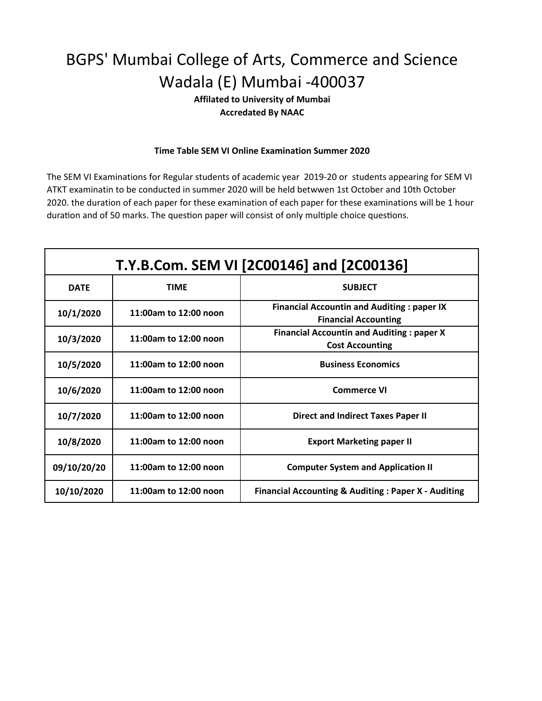**Affilated to University of Mumbai Accredated By NAAC**

#### **Time Table SEM VI Online Examination Summer 2020**

| T.Y.B.Com. SEM VI [2C00146] and [2C00136] |                       |                                                                                  |  |  |
|-------------------------------------------|-----------------------|----------------------------------------------------------------------------------|--|--|
| <b>DATE</b>                               | <b>TIMF</b>           | <b>SUBJECT</b>                                                                   |  |  |
| 10/1/2020                                 | 11:00am to 12:00 noon | <b>Financial Accountin and Auditing: paper IX</b><br><b>Financial Accounting</b> |  |  |
| 10/3/2020                                 | 11:00am to 12:00 noon | <b>Financial Accountin and Auditing: paper X</b><br><b>Cost Accounting</b>       |  |  |
| 10/5/2020                                 | 11:00am to 12:00 noon | <b>Business Economics</b>                                                        |  |  |
| 10/6/2020                                 | 11:00am to 12:00 noon | <b>Commerce VI</b>                                                               |  |  |
| 10/7/2020                                 | 11:00am to 12:00 noon | <b>Direct and Indirect Taxes Paper II</b>                                        |  |  |
| 10/8/2020                                 | 11:00am to 12:00 noon | <b>Export Marketing paper II</b>                                                 |  |  |
| 09/10/20/20                               | 11:00am to 12:00 noon | <b>Computer System and Application II</b>                                        |  |  |
| 10/10/2020                                | 11:00am to 12:00 noon | <b>Financial Accounting &amp; Auditing: Paper X - Auditing</b>                   |  |  |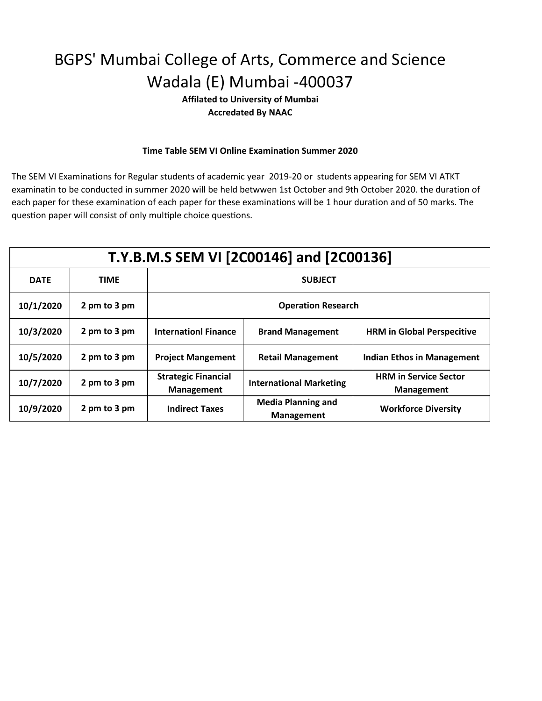**Affilated to University of Mumbai Accredated By NAAC**

#### **Time Table SEM VI Online Examination Summer 2020**

| T.Y.B.M.S SEM VI [2C00146] and [2C00136] |              |                                                 |                                                |                                                   |  |  |
|------------------------------------------|--------------|-------------------------------------------------|------------------------------------------------|---------------------------------------------------|--|--|
| <b>DATE</b>                              | <b>TIME</b>  | <b>SUBJECT</b>                                  |                                                |                                                   |  |  |
| 10/1/2020                                | 2 pm to 3 pm | <b>Operation Research</b>                       |                                                |                                                   |  |  |
| 10/3/2020                                | 2 pm to 3 pm | <b>Internationl Finance</b>                     | <b>Brand Management</b>                        | <b>HRM in Global Perspecitive</b>                 |  |  |
| 10/5/2020                                | 2 pm to 3 pm | <b>Project Mangement</b>                        | <b>Retail Management</b>                       | Indian Ethos in Management                        |  |  |
| 10/7/2020                                | 2 pm to 3 pm | <b>Strategic Financial</b><br><b>Management</b> | <b>International Marketing</b>                 | <b>HRM in Service Sector</b><br><b>Management</b> |  |  |
| 10/9/2020                                | 2 pm to 3 pm | <b>Indirect Taxes</b>                           | <b>Media Planning and</b><br><b>Management</b> | <b>Workforce Diversity</b>                        |  |  |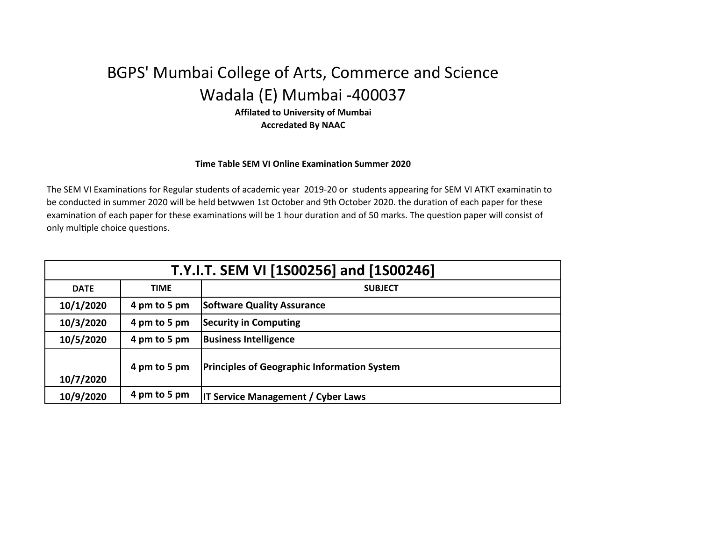**Affilated to University of Mumbai Accredated By NAAC**

#### **Time Table SEM VI Online Examination Summer 2020**

| T.Y.I.T. SEM VI [1S00256] and [1S00246] |              |                                                    |  |  |
|-----------------------------------------|--------------|----------------------------------------------------|--|--|
| <b>DATE</b>                             | <b>TIME</b>  | <b>SUBJECT</b>                                     |  |  |
| 10/1/2020                               | 4 pm to 5 pm | <b>Software Quality Assurance</b>                  |  |  |
| 10/3/2020                               | 4 pm to 5 pm | <b>Security in Computing</b>                       |  |  |
| 10/5/2020                               | 4 pm to 5 pm | <b>Business Intelligence</b>                       |  |  |
| 10/7/2020                               | 4 pm to 5 pm | <b>Principles of Geographic Information System</b> |  |  |
| 10/9/2020                               | 4 pm to 5 pm | <b>IT Service Management / Cyber Laws</b>          |  |  |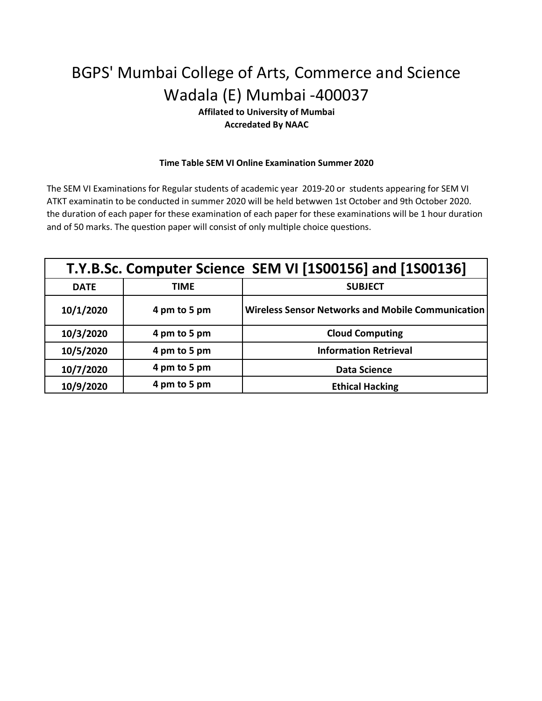### **Affilated to University of Mumbai Accredated By NAAC**

#### **Time Table SEM VI Online Examination Summer 2020**

| T.Y.B.Sc. Computer Science SEM VI [1S00156] and [1S00136] |              |                                                   |
|-----------------------------------------------------------|--------------|---------------------------------------------------|
| <b>DATE</b>                                               | <b>TIME</b>  | <b>SUBJECT</b>                                    |
| 10/1/2020                                                 | 4 pm to 5 pm | Wireless Sensor Networks and Mobile Communication |
| 10/3/2020                                                 | 4 pm to 5 pm | <b>Cloud Computing</b>                            |
| 10/5/2020                                                 | 4 pm to 5 pm | <b>Information Retrieval</b>                      |
| 10/7/2020                                                 | 4 pm to 5 pm | <b>Data Science</b>                               |
| 10/9/2020                                                 | 4 pm to 5 pm | <b>Ethical Hacking</b>                            |